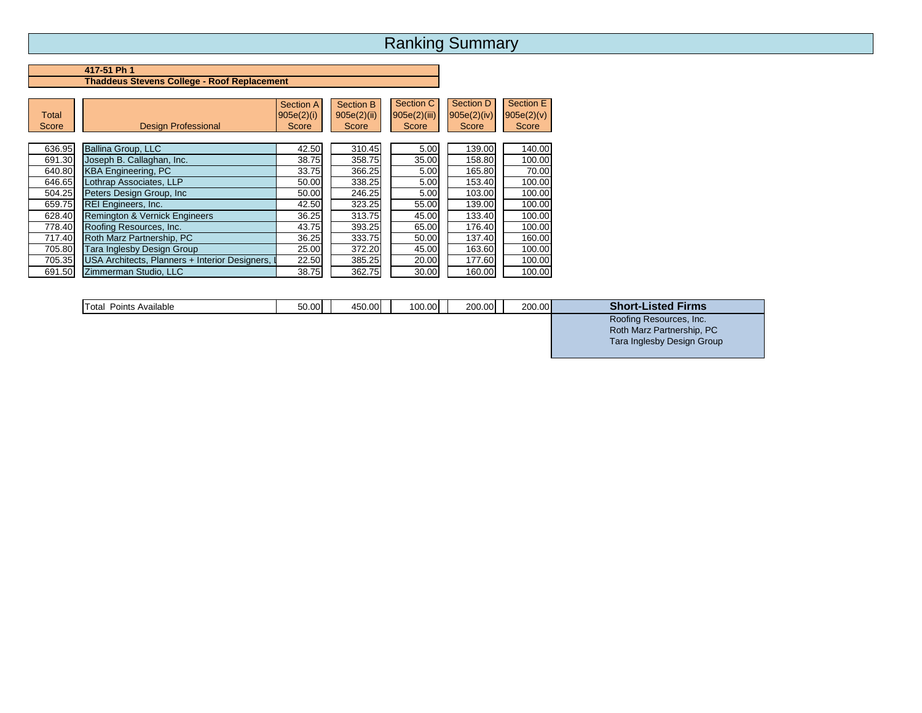# Ranking Summary

## **417-51 Ph 1 Thaddeus Stevens College - Roof Replacement**

| <b>Total</b><br>Score | <b>Design Professional</b>                     | <b>Section A</b><br>905e(2)(i)<br>Score | Section B<br>905e(2)(ii)<br>Score | Section C<br>905e(2)(iii)<br>Score | <b>Section D</b><br>905e(2)(iv)<br>Score | Section E<br>905e(2)(v)<br>Score |
|-----------------------|------------------------------------------------|-----------------------------------------|-----------------------------------|------------------------------------|------------------------------------------|----------------------------------|
| 636.95                | Ballina Group, LLC                             | 42.50                                   | 310.45                            | 5.00                               | 139.00                                   | 140.00                           |
| 691.30                | Joseph B. Callaghan, Inc.                      | 38.75                                   | 358.75                            | 35.00                              | 158.80                                   | 100.00                           |
| 640.80                | <b>KBA Engineering, PC</b>                     | 33.75                                   | 366.25                            | 5.00                               | 165.80                                   | 70.00                            |
| 646.65                | Lothrap Associates, LLP                        | 50.00                                   | 338.25                            | 5.00                               | 153.40                                   | 100.00                           |
| 504.25                | Peters Design Group, Inc.                      | 50.00                                   | 246.25                            | 5.00                               | 103.00                                   | 100.00                           |
| 659.75                | <b>REI Engineers, Inc.</b>                     | 42.50                                   | 323.25                            | 55.00                              | 139.00                                   | 100.00                           |
| 628.40                | <b>Remington &amp; Vernick Engineers</b>       | 36.25                                   | 313.75                            | 45.00                              | 133.40                                   | 100.00                           |
| 778.40                | Roofing Resources, Inc.                        | 43.75                                   | 393.25                            | 65.00                              | 176.40                                   | 100.00                           |
| 717.40                | Roth Marz Partnership, PC                      | 36.25                                   | 333.75                            | 50.00                              | 137.40                                   | 160.00                           |
| 705.80                | Tara Inglesby Design Group                     | 25.00                                   | 372.20                            | 45.00                              | 163.60                                   | 100.00                           |
| 705.35                | USA Architects, Planners + Interior Designers, | 22.50                                   | 385.25                            | 20.00                              | 177.60                                   | 100.00                           |
| 691.50                | Zimmerman Studio, LLC                          | 38.75                                   | 362.75                            | 30.00                              | 160.00                                   | 100.00                           |

| Total<br>Points<br>Available | 50.00 | 150.00 | 100.00 | 200.00l | 200.00 | <b>Short-I</b><br>∟isted<br><b>Firms</b> |
|------------------------------|-------|--------|--------|---------|--------|------------------------------------------|
|                              |       |        |        |         |        | Roofing Resources, Inc.                  |

 $\begin{pmatrix} 1 & 0 & 0.00000 & 0.00000 & 0.00000 & 0.00000 & 0.00000 & 0.00000 & 0.00000 & 0.00000 & 0.00000 & 0.00000 & 0.00000 & 0.00000 & 0.00000 & 0.00000 & 0.00000 & 0.00000 & 0.00000 & 0.00000 & 0.00000 & 0.00000 & 0.00000 & 0.00000 & 0.00000 &$ Tara Inglesby Design Group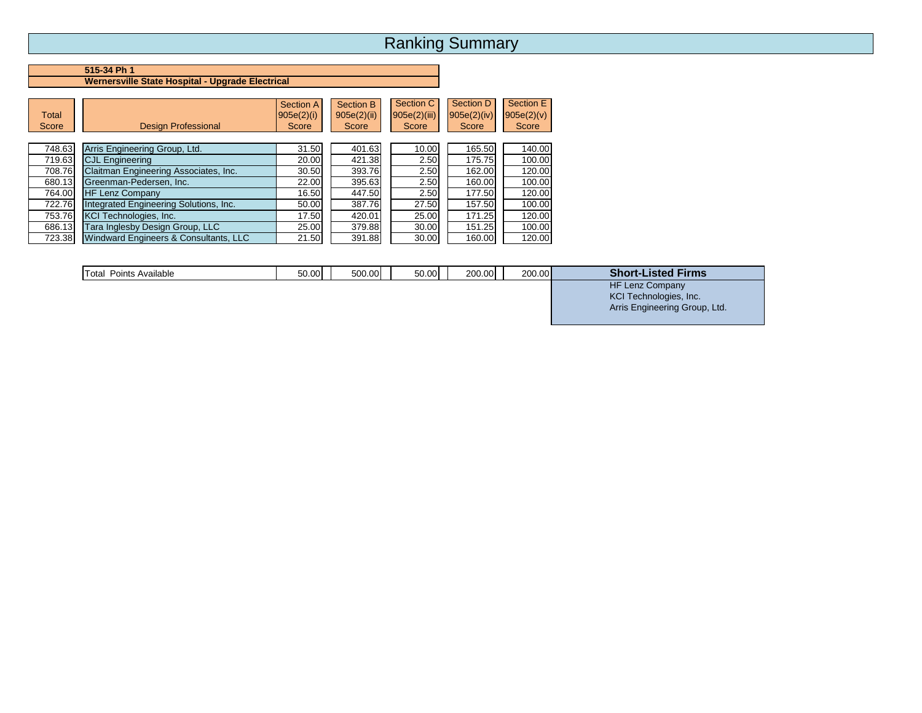# Ranking Summary

## **515-34 Ph 1 Wernersville State Hospital - Upgrade Electrical**

| <b>Total</b><br>Score | <b>Design Professional</b>             | <b>Section A</b><br>905e(2)(i)<br>Score | Section B<br>905e(2)(ii)<br>Score | Section C<br>905e(2)(iii)<br>Score | Section D<br>905e(2)(iv)<br>Score | Section E<br>905e(2)(v)<br>Score |
|-----------------------|----------------------------------------|-----------------------------------------|-----------------------------------|------------------------------------|-----------------------------------|----------------------------------|
| 748.63                | Arris Engineering Group, Ltd.          | 31.50                                   | 401.63                            | 10.00                              | 165.50                            | 140.00                           |
| 719.63                | <b>CJL Engineering</b>                 | 20.00                                   | 421.38                            | 2.50                               | 175.75                            | 100.00                           |
| 708.76                | Claitman Engineering Associates, Inc.  | 30.50                                   | 393.76                            | 2.50                               | 162.00                            | 120.00                           |
| 680.13                | Greenman-Pedersen, Inc.                | 22.00                                   | 395.63                            | 2.50                               | 160.00                            | 100.00                           |
| 764.00                | <b>HF Lenz Company</b>                 | 16.50                                   | 447.50                            | 2.50                               | 177.50                            | 120.00                           |
| 722.76                | Integrated Engineering Solutions, Inc. | 50.00                                   | 387.76                            | 27.50                              | 157.50                            | 100.00                           |
| 753.76                | <b>KCI Technologies, Inc.</b>          | 17.50                                   | 420.01                            | 25.00                              | 171.25                            | 120.00                           |
| 686.13                | <b>Tara Inglesby Design Group, LLC</b> | 25.00                                   | 379.88                            | 30.00                              | 151.25                            | 100.00                           |
| 723.38                | Windward Engineers & Consultants, LLC  | 21.50                                   | 391.88                            | 30.00                              | 160.00                            | 120.00                           |

| Total<br>Points Available | 50.00 | 500.00 | 50.00 | 200.00 | 200.00 | <b>Short-Listed Firms</b> |
|---------------------------|-------|--------|-------|--------|--------|---------------------------|
|                           |       |        |       |        |        | <b>HF Lenz Company</b>    |
|                           |       |        |       |        |        | KCI Technologies, Inc.    |

Arris Engineering Group, Ltd.